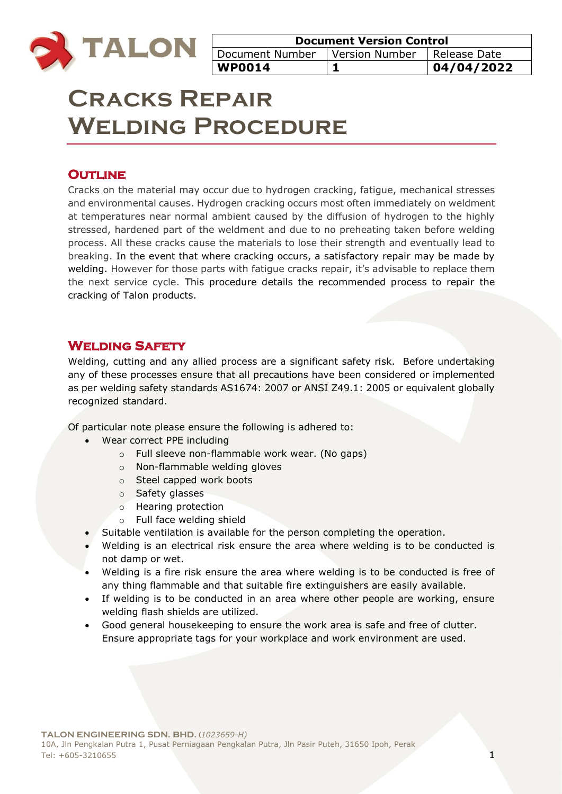

| <b>Document Version Control</b>                 |  |            |
|-------------------------------------------------|--|------------|
| Document Number   Version Number   Release Date |  |            |
| <b>WP0014</b>                                   |  | 04/04/2022 |

# **Cracks Repair Welding Procedure**

# **OUTLINE**

Cracks on the material may occur due to hydrogen cracking, fatigue, mechanical stresses and environmental causes. Hydrogen cracking occurs most often immediately on weldment at temperatures near normal ambient caused by the diffusion of hydrogen to the highly stressed, hardened part of the weldment and due to no preheating taken before welding process. All these cracks cause the materials to lose their strength and eventually lead to breaking. In the event that where cracking occurs, a satisfactory repair may be made by welding. However for those parts with fatigue cracks repair, it's advisable to replace them the next service cycle. This procedure details the recommended process to repair the cracking of Talon products.

## **Welding Safety**

Welding, cutting and any allied process are a significant safety risk. Before undertaking any of these processes ensure that all precautions have been considered or implemented as per welding safety standards AS1674: 2007 or ANSI Z49.1: 2005 or equivalent globally recognized standard.

Of particular note please ensure the following is adhered to:

- Wear correct PPE including
	- o Full sleeve non-flammable work wear. (No gaps)
	- o Non-flammable welding gloves
	- o Steel capped work boots
	- o Safety glasses
	- o Hearing protection
	- o Full face welding shield
- Suitable ventilation is available for the person completing the operation.
- Welding is an electrical risk ensure the area where welding is to be conducted is not damp or wet.
- Welding is a fire risk ensure the area where welding is to be conducted is free of any thing flammable and that suitable fire extinguishers are easily available.
- If welding is to be conducted in an area where other people are working, ensure welding flash shields are utilized.
- Good general housekeeping to ensure the work area is safe and free of clutter. Ensure appropriate tags for your workplace and work environment are used.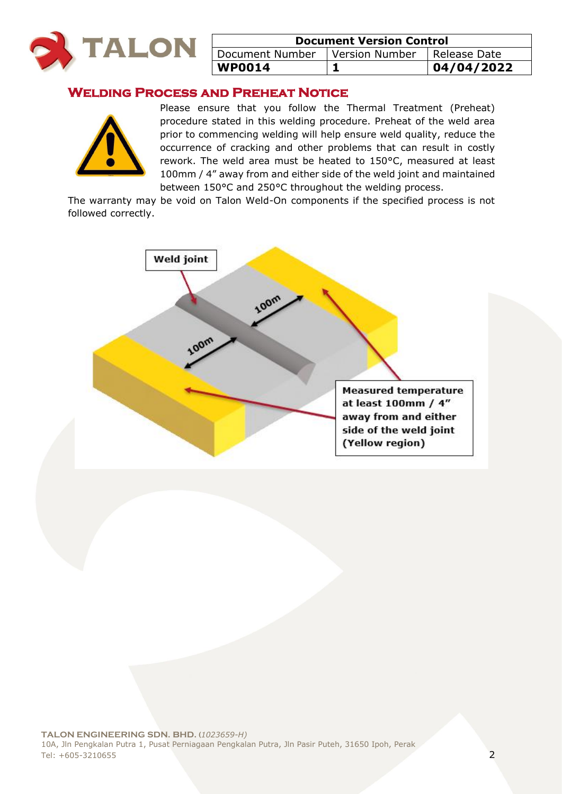

| <b>Document Version Control</b> |                               |            |
|---------------------------------|-------------------------------|------------|
| Document Number                 | Version Number   Release Date |            |
| $ $ WP0014                      |                               | 04/04/2022 |

# **Welding Process and Preheat Notice**



Please ensure that you follow the Thermal Treatment (Preheat) procedure stated in this welding procedure. Preheat of the weld area prior to commencing welding will help ensure weld quality, reduce the occurrence of cracking and other problems that can result in costly rework. The weld area must be heated to 150°C, measured at least 100mm / 4" away from and either side of the weld joint and maintained between 150°C and 250°C throughout the welding process.

The warranty may be void on Talon Weld-On components if the specified process is not followed correctly.

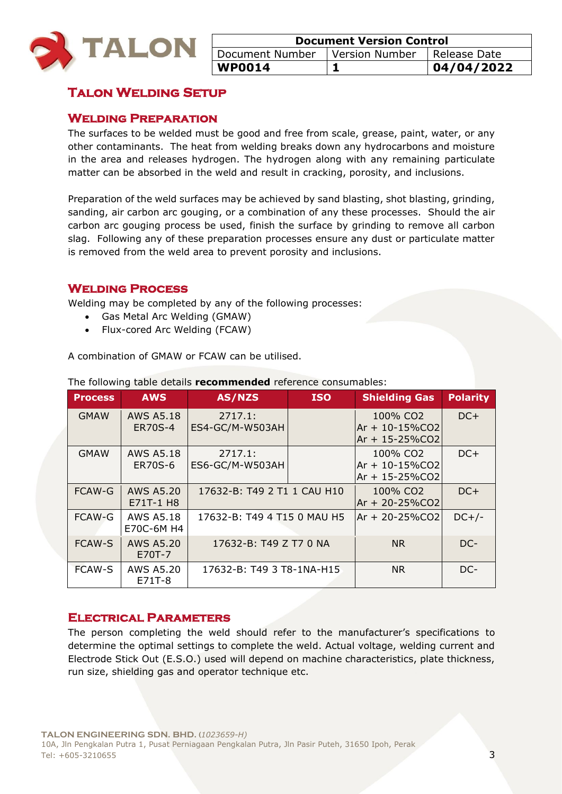

| <b>Document Version Control</b>  |  |              |
|----------------------------------|--|--------------|
| Document Number   Version Number |  | Release Date |
| <b>WP0014</b>                    |  | 04/04/2022   |

# **Talon Welding Setup**

#### **Welding Preparation**

The surfaces to be welded must be good and free from scale, grease, paint, water, or any other contaminants. The heat from welding breaks down any hydrocarbons and moisture in the area and releases hydrogen. The hydrogen along with any remaining particulate matter can be absorbed in the weld and result in cracking, porosity, and inclusions.

Preparation of the weld surfaces may be achieved by sand blasting, shot blasting, grinding, sanding, air carbon arc gouging, or a combination of any these processes. Should the air carbon arc gouging process be used, finish the surface by grinding to remove all carbon slag. Following any of these preparation processes ensure any dust or particulate matter is removed from the weld area to prevent porosity and inclusions.

#### **Welding Process**

Welding may be completed by any of the following processes:

- Gas Metal Arc Welding (GMAW)
- Flux-cored Arc Welding (FCAW)

A combination of GMAW or FCAW can be utilised.

| <b>Process</b> | <b>AWS</b>                         | <b>AS/NZS</b>               | <b>ISO</b> | <b>Shielding Gas</b>                                                | <b>Polarity</b> |
|----------------|------------------------------------|-----------------------------|------------|---------------------------------------------------------------------|-----------------|
| <b>GMAW</b>    | AWS A5.18<br><b>ER70S-4</b>        | 2717.1:<br>ES4-GC/M-W503AH  |            | 100% CO <sub>2</sub><br>$Ar + 10 - 15\%CO2$<br>$Ar + 15 - 25\%CO2$  | $DC+$           |
| <b>GMAW</b>    | <b>AWS A5.18</b><br><b>ER70S-6</b> | 2717.1:<br>ES6-GC/M-W503AH  |            | 100% CO <sub>2</sub><br>$Ar + 10 - 15\%$ CO2<br>$Ar + 15 - 25\%CO2$ | $DC+$           |
| <b>FCAW-G</b>  | <b>AWS A5.20</b><br>E71T-1 H8      | 17632-B: T49 2 T1 1 CAU H10 |            | 100% CO <sub>2</sub><br>$Ar + 20 - 25\%CO2$                         | $DC+$           |
| <b>FCAW-G</b>  | <b>AWS A5.18</b><br>E70C-6M H4     | 17632-B: T49 4 T15 0 MAU H5 |            | $Ar + 20 - 25\%CO2$                                                 | $DC+/-$         |
| <b>FCAW-S</b>  | <b>AWS A5.20</b><br>E70T-7         | 17632-B: T49 Z T7 0 NA      |            | <b>NR</b>                                                           | DC-             |
| <b>FCAW-S</b>  | AWS A5.20<br>E71T-8                | 17632-B: T49 3 T8-1NA-H15   |            | <b>NR</b>                                                           | DC-             |

The following table details **recommended** reference consumables:

#### **Electrical Parameters**

The person completing the weld should refer to the manufacturer's specifications to determine the optimal settings to complete the weld. Actual voltage, welding current and Electrode Stick Out (E.S.O.) used will depend on machine characteristics, plate thickness, run size, shielding gas and operator technique etc.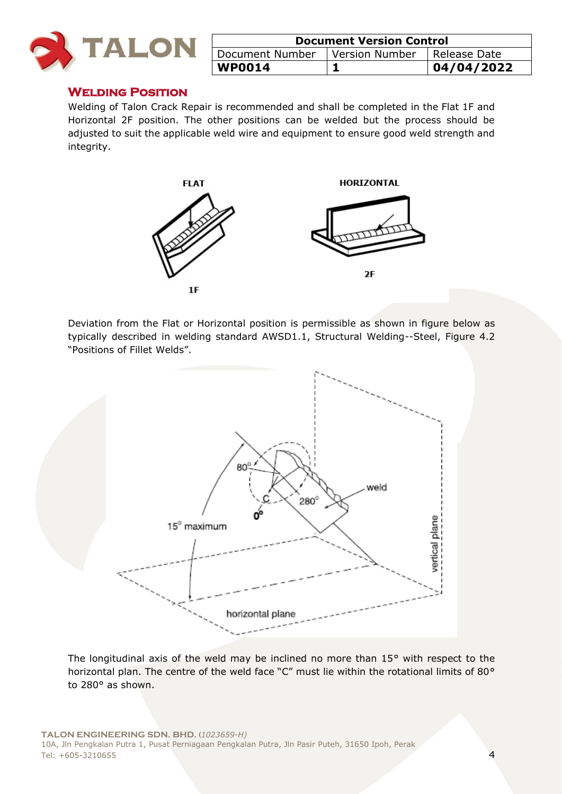

| <b>Document Version Control</b> |                |                |
|---------------------------------|----------------|----------------|
| Document Number                 | Version Number | I Release Date |
| <b>WP0014</b>                   |                | 04/04/2022     |

#### **Welding Position**

Welding of Talon Crack Repair is recommended and shall be completed in the Flat 1F and Horizontal 2F position. The other positions can be welded but the process should be adjusted to suit the applicable weld wire and equipment to ensure good weld strength and integrity.



Deviation from the Flat or Horizontal position is permissible as shown in figure below as typically described in welding standard AWSD1.1, Structural Welding--Steel, Figure 4.2 "Positions of Fillet Welds".



The longitudinal axis of the weld may be inclined no more than 15° with respect to the horizontal plan. The centre of the weld face "C" must lie within the rotational limits of 80° to 280° as shown.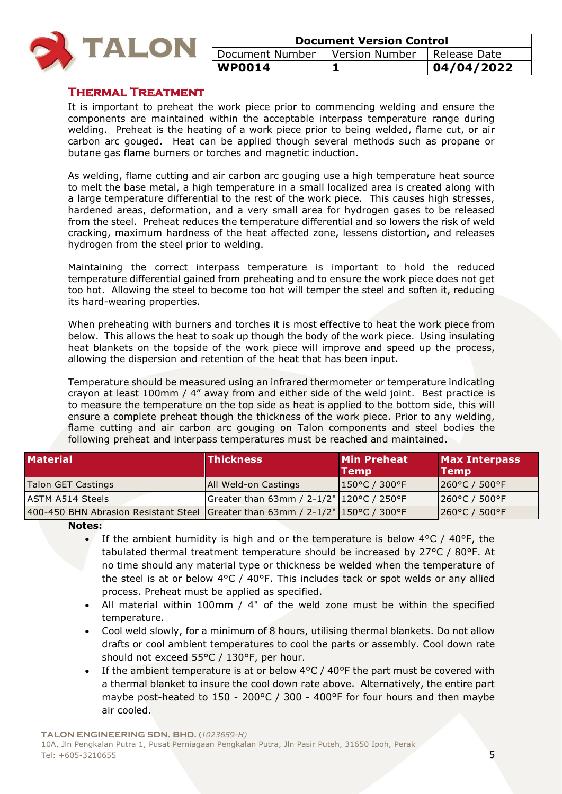

| <b>Document Version Control</b>                 |  |            |
|-------------------------------------------------|--|------------|
| Document Number   Version Number   Release Date |  |            |
| <b>WP0014</b>                                   |  | 04/04/2022 |

#### **Thermal Treatment**

It is important to preheat the work piece prior to commencing welding and ensure the components are maintained within the acceptable interpass temperature range during welding. Preheat is the heating of a work piece prior to being welded, flame cut, or air carbon arc gouged. Heat can be applied though several methods such as propane or butane gas flame burners or torches and magnetic induction.

As welding, flame cutting and air carbon arc gouging use a high temperature heat source to melt the base metal, a high temperature in a small localized area is created along with a large temperature differential to the rest of the work piece. This causes high stresses, hardened areas, deformation, and a very small area for hydrogen gases to be released from the steel. Preheat reduces the temperature differential and so lowers the risk of weld cracking, maximum hardness of the heat affected zone, lessens distortion, and releases hydrogen from the steel prior to welding.

Maintaining the correct interpass temperature is important to hold the reduced temperature differential gained from preheating and to ensure the work piece does not get too hot. Allowing the steel to become too hot will temper the steel and soften it, reducing its hard-wearing properties.

When preheating with burners and torches it is most effective to heat the work piece from below. This allows the heat to soak up though the body of the work piece. Using insulating heat blankets on the topside of the work piece will improve and speed up the process, allowing the dispersion and retention of the heat that has been input.

Temperature should be measured using an infrared thermometer or temperature indicating crayon at least 100mm / 4" away from and either side of the weld joint. Best practice is to measure the temperature on the top side as heat is applied to the bottom side, this will ensure a complete preheat though the thickness of the work piece. Prior to any welding, flame cutting and air carbon arc gouging on Talon components and steel bodies the following preheat and interpass temperatures must be reached and maintained.

| <b>Material</b>                                                               | <b>Thickness</b>                         | <b>Min Preheat</b><br>Temp          | <b>Max Interpass</b><br><b>Temp</b> |
|-------------------------------------------------------------------------------|------------------------------------------|-------------------------------------|-------------------------------------|
| Talon GET Castings                                                            | All Weld-on Castings                     | $1150^{\circ}$ C / 300 $^{\circ}$ F | $ 260^{\circ}$ C / 500°F            |
| <b>ASTM A514 Steels</b>                                                       | Greater than 63mm / 2-1/2" 120°C / 250°F |                                     | $[260^{\circ}C / 500^{\circ}F]$     |
| 400-450 BHN Abrasion Resistant Steel Greater than 63mm / 2-1/2" 150°C / 300°F |                                          |                                     | 260°C / 500°F                       |

**Notes:** 

- If the ambient humidity is high and or the temperature is below  $4^{\circ}C$  /  $40^{\circ}F$ , the tabulated thermal treatment temperature should be increased by 27°C / 80°F. At no time should any material type or thickness be welded when the temperature of the steel is at or below  $4^{\circ}C$  /  $40^{\circ}F$ . This includes tack or spot welds or any allied process. Preheat must be applied as specified.
- All material within 100mm / 4" of the weld zone must be within the specified temperature.
- Cool weld slowly, for a minimum of 8 hours, utilising thermal blankets. Do not allow drafts or cool ambient temperatures to cool the parts or assembly. Cool down rate should not exceed 55°C / 130°F, per hour.
- If the ambient temperature is at or below  $4^{\circ}$ C /  $40^{\circ}$ F the part must be covered with a thermal blanket to insure the cool down rate above. Alternatively, the entire part maybe post-heated to 150 - 200°C / 300 - 400°F for four hours and then maybe air cooled.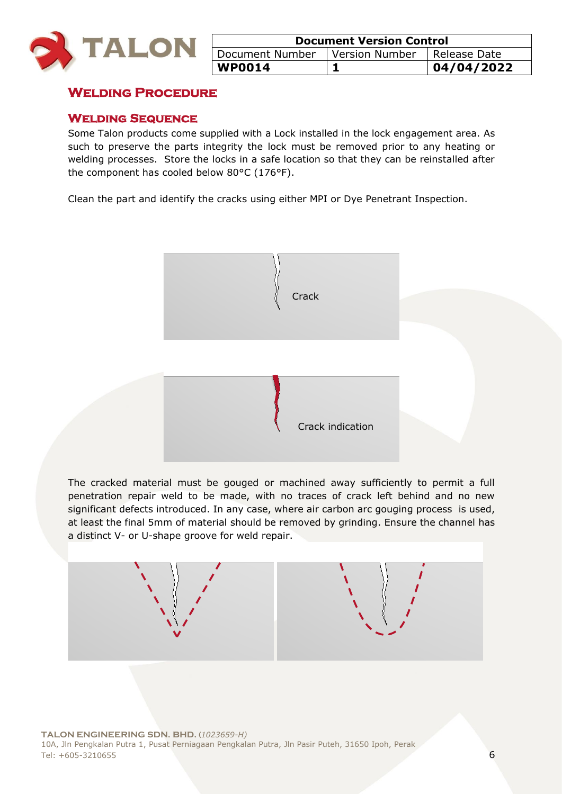

| <b>Document Version Control</b> |                |                |
|---------------------------------|----------------|----------------|
| Document Number                 | Version Number | I Release Date |
| <b>WP0014</b>                   |                | 104/04/2022    |

## **Welding Procedure**

#### **Welding Sequence**

Some Talon products come supplied with a Lock installed in the lock engagement area. As such to preserve the parts integrity the lock must be removed prior to any heating or welding processes. Store the locks in a safe location so that they can be reinstalled after the component has cooled below 80°C (176°F).

Clean the part and identify the cracks using either MPI or Dye Penetrant Inspection.



The cracked material must be gouged or machined away sufficiently to permit a full penetration repair weld to be made, with no traces of crack left behind and no new significant defects introduced. In any case, where air carbon arc gouging process is used, at least the final 5mm of material should be removed by grinding. Ensure the channel has a distinct V- or U-shape groove for weld repair.

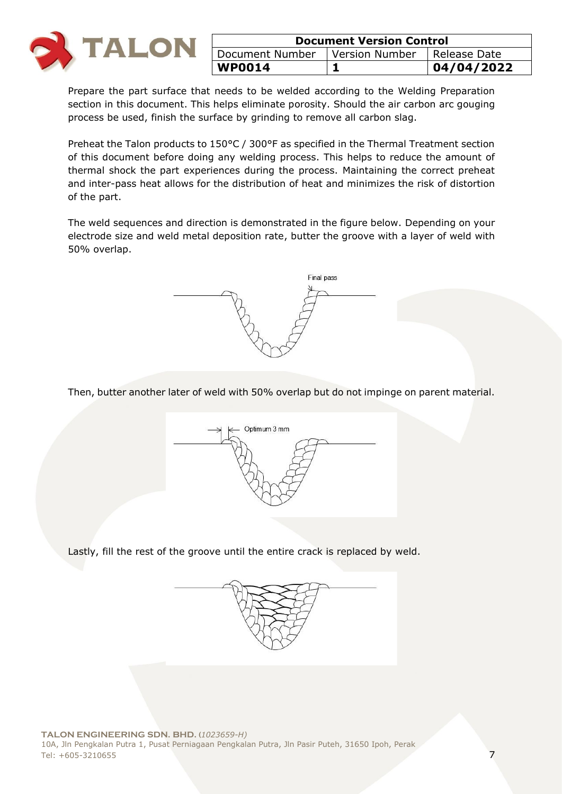

| <b>Document Version Control</b>                 |  |            |
|-------------------------------------------------|--|------------|
| Document Number   Version Number   Release Date |  |            |
| <b>WP0014</b>                                   |  | 04/04/2022 |

Prepare the part surface that needs to be welded according to the Welding Preparation section in this document. This helps eliminate porosity. Should the air carbon arc gouging process be used, finish the surface by grinding to remove all carbon slag.

Preheat the Talon products to 150°C / 300°F as specified in the Thermal Treatment section of this document before doing any welding process. This helps to reduce the amount of thermal shock the part experiences during the process. Maintaining the correct preheat and inter-pass heat allows for the distribution of heat and minimizes the risk of distortion of the part.

The weld sequences and direction is demonstrated in the figure below. Depending on your electrode size and weld metal deposition rate, butter the groove with a layer of weld with 50% overlap.



Then, butter another later of weld with 50% overlap but do not impinge on parent material.



Lastly, fill the rest of the groove until the entire crack is replaced by weld.